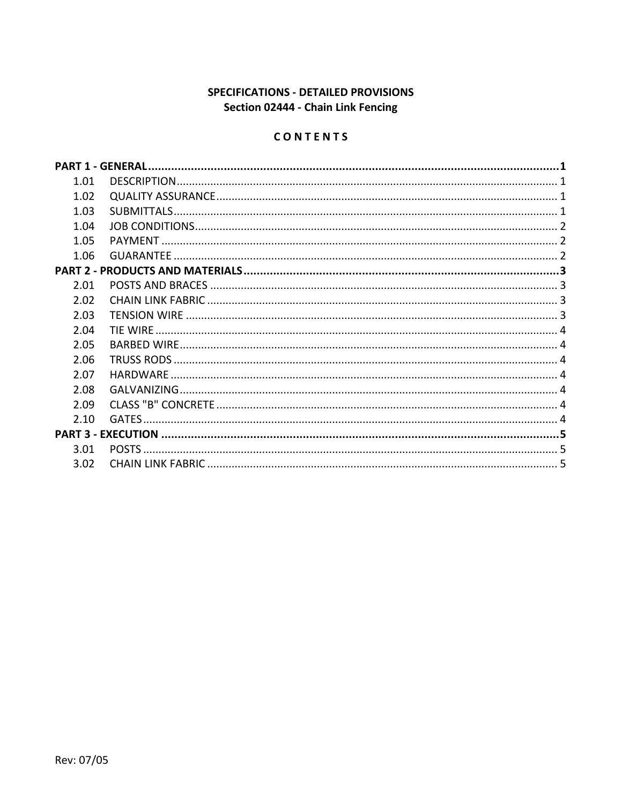# SPECIFICATIONS - DETAILED PROVISIONS Section 02444 - Chain Link Fencing

# CONTENTS

|      | <b>PART 1 - GENERAL</b> |  |  |  |  |
|------|-------------------------|--|--|--|--|
| 1.01 |                         |  |  |  |  |
| 1.02 |                         |  |  |  |  |
| 1.03 | SUBMITTALS              |  |  |  |  |
| 1.04 |                         |  |  |  |  |
| 1.05 |                         |  |  |  |  |
| 1.06 |                         |  |  |  |  |
|      |                         |  |  |  |  |
| 2.01 |                         |  |  |  |  |
| 2.02 |                         |  |  |  |  |
| 2.03 |                         |  |  |  |  |
| 2.04 |                         |  |  |  |  |
| 2.05 |                         |  |  |  |  |
| 2.06 |                         |  |  |  |  |
| 2.07 | <b>HARDWARF</b>         |  |  |  |  |
| 2.08 |                         |  |  |  |  |
| 2.09 |                         |  |  |  |  |
| 2.10 | <b>GATES</b>            |  |  |  |  |
|      |                         |  |  |  |  |
| 3.01 |                         |  |  |  |  |
| 3.02 |                         |  |  |  |  |
|      |                         |  |  |  |  |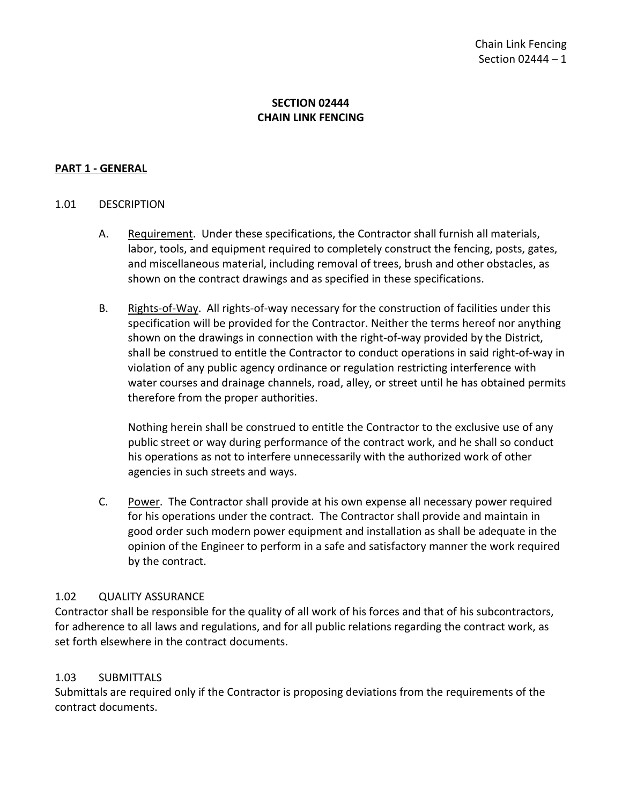## **SECTION 02444 CHAIN LINK FENCING**

### <span id="page-2-0"></span>**PART 1 - GENERAL**

#### <span id="page-2-1"></span>1.01 DESCRIPTION

- A. Requirement. Under these specifications, the Contractor shall furnish all materials, labor, tools, and equipment required to completely construct the fencing, posts, gates, and miscellaneous material, including removal of trees, brush and other obstacles, as shown on the contract drawings and as specified in these specifications.
- B. Rights-of-Way. All rights-of-way necessary for the construction of facilities under this specification will be provided for the Contractor. Neither the terms hereof nor anything shown on the drawings in connection with the right-of-way provided by the District, shall be construed to entitle the Contractor to conduct operations in said right-of-way in violation of any public agency ordinance or regulation restricting interference with water courses and drainage channels, road, alley, or street until he has obtained permits therefore from the proper authorities.

Nothing herein shall be construed to entitle the Contractor to the exclusive use of any public street or way during performance of the contract work, and he shall so conduct his operations as not to interfere unnecessarily with the authorized work of other agencies in such streets and ways.

C. Power. The Contractor shall provide at his own expense all necessary power required for his operations under the contract. The Contractor shall provide and maintain in good order such modern power equipment and installation as shall be adequate in the opinion of the Engineer to perform in a safe and satisfactory manner the work required by the contract.

### <span id="page-2-2"></span>1.02 QUALITY ASSURANCE

Contractor shall be responsible for the quality of all work of his forces and that of his subcontractors, for adherence to all laws and regulations, and for all public relations regarding the contract work, as set forth elsewhere in the contract documents.

### <span id="page-2-3"></span>1.03 SUBMITTALS

Submittals are required only if the Contractor is proposing deviations from the requirements of the contract documents.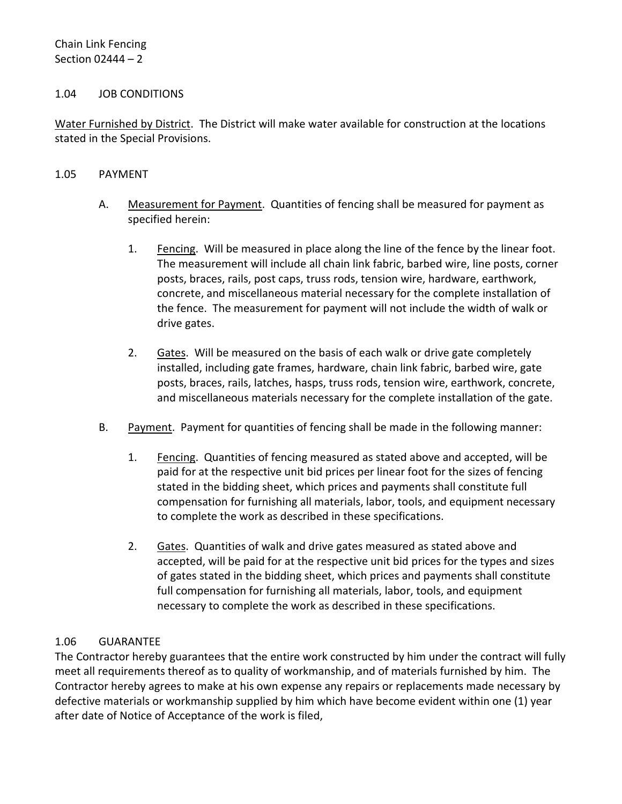### <span id="page-3-0"></span>1.04 JOB CONDITIONS

Water Furnished by District. The District will make water available for construction at the locations stated in the Special Provisions.

#### <span id="page-3-1"></span>1.05 PAYMENT

- A. Measurement for Payment. Quantities of fencing shall be measured for payment as specified herein:
	- 1. Fencing. Will be measured in place along the line of the fence by the linear foot. The measurement will include all chain link fabric, barbed wire, line posts, corner posts, braces, rails, post caps, truss rods, tension wire, hardware, earthwork, concrete, and miscellaneous material necessary for the complete installation of the fence. The measurement for payment will not include the width of walk or drive gates.
	- 2. Gates. Will be measured on the basis of each walk or drive gate completely installed, including gate frames, hardware, chain link fabric, barbed wire, gate posts, braces, rails, latches, hasps, truss rods, tension wire, earthwork, concrete, and miscellaneous materials necessary for the complete installation of the gate.
- B. Payment. Payment for quantities of fencing shall be made in the following manner:
	- 1. Fencing. Quantities of fencing measured as stated above and accepted, will be paid for at the respective unit bid prices per linear foot for the sizes of fencing stated in the bidding sheet, which prices and payments shall constitute full compensation for furnishing all materials, labor, tools, and equipment necessary to complete the work as described in these specifications.
	- 2. Gates. Quantities of walk and drive gates measured as stated above and accepted, will be paid for at the respective unit bid prices for the types and sizes of gates stated in the bidding sheet, which prices and payments shall constitute full compensation for furnishing all materials, labor, tools, and equipment necessary to complete the work as described in these specifications.

### <span id="page-3-2"></span>1.06 GUARANTEE

The Contractor hereby guarantees that the entire work constructed by him under the contract will fully meet all requirements thereof as to quality of workmanship, and of materials furnished by him. The Contractor hereby agrees to make at his own expense any repairs or replacements made necessary by defective materials or workmanship supplied by him which have become evident within one (1) year after date of Notice of Acceptance of the work is filed,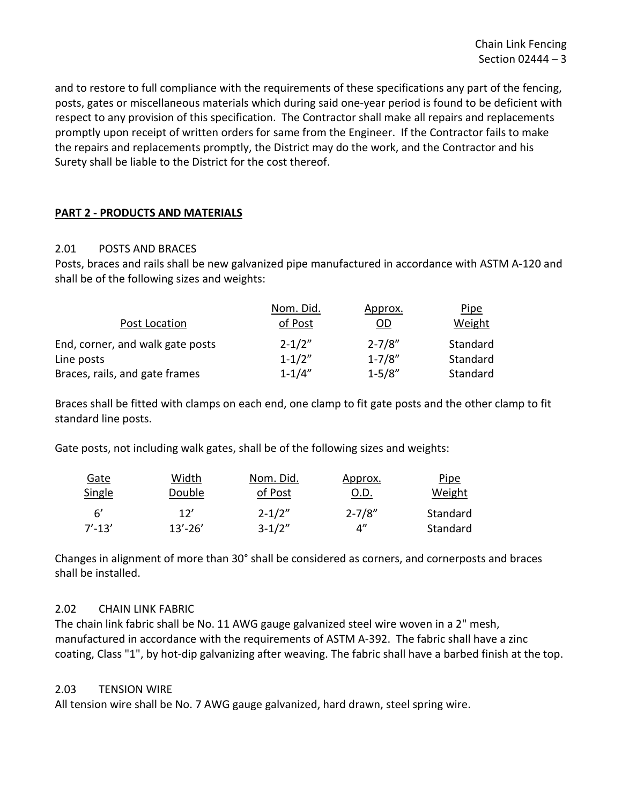and to restore to full compliance with the requirements of these specifications any part of the fencing, posts, gates or miscellaneous materials which during said one-year period is found to be deficient with respect to any provision of this specification. The Contractor shall make all repairs and replacements promptly upon receipt of written orders for same from the Engineer. If the Contractor fails to make the repairs and replacements promptly, the District may do the work, and the Contractor and his Surety shall be liable to the District for the cost thereof.

### <span id="page-4-0"></span>**PART 2 - PRODUCTS AND MATERIALS**

### <span id="page-4-1"></span>2.01 POSTS AND BRACES

Posts, braces and rails shall be new galvanized pipe manufactured in accordance with ASTM A-120 and shall be of the following sizes and weights:

|                                  | Nom. Did.  | Approx.                   | Pipe     |
|----------------------------------|------------|---------------------------|----------|
| Post Location                    | of Post    | $\underline{\mathsf{OD}}$ | Weight   |
| End, corner, and walk gate posts | $2 - 1/2"$ | $2 - 7/8"$                | Standard |
| Line posts                       | $1 - 1/2"$ | $1 - 7/8"$                | Standard |
| Braces, rails, and gate frames   | $1 - 1/4"$ | $1 - 5/8"$                | Standard |

Braces shall be fitted with clamps on each end, one clamp to fit gate posts and the other clamp to fit standard line posts.

Gate posts, not including walk gates, shall be of the following sizes and weights:

| <b>Gate</b> | Width       | Nom. Did.  | Approx.     | <b>Pipe</b> |
|-------------|-------------|------------|-------------|-------------|
| Single      | Double      | of Post    | 0.D.        | Weight      |
| - 6'        | 12'         | $2 - 1/2"$ | $2 - 7/8"$  | Standard    |
| $7' - 13'$  | $13' - 26'$ | $3 - 1/2"$ | $\Lambda''$ | Standard    |

Changes in alignment of more than 30° shall be considered as corners, and cornerposts and braces shall be installed.

### <span id="page-4-2"></span>2.02 CHAIN LINK FABRIC

The chain link fabric shall be No. 11 AWG gauge galvanized steel wire woven in a 2" mesh, manufactured in accordance with the requirements of ASTM A-392. The fabric shall have a zinc coating, Class "1", by hot-dip galvanizing after weaving. The fabric shall have a barbed finish at the top.

### <span id="page-4-3"></span>2.03 TENSION WIRE

All tension wire shall be No. 7 AWG gauge galvanized, hard drawn, steel spring wire.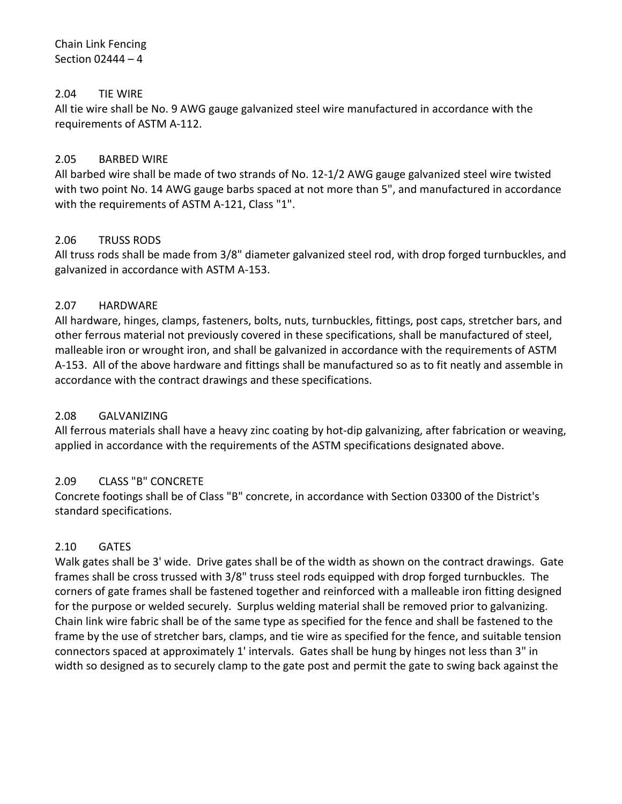### Chain Link Fencing Section 02444 – 4

## <span id="page-5-0"></span>2.04 TIE WIRE

All tie wire shall be No. 9 AWG gauge galvanized steel wire manufactured in accordance with the requirements of ASTM A-112.

### <span id="page-5-1"></span>2.05 BARBED WIRE

All barbed wire shall be made of two strands of No. 12-1/2 AWG gauge galvanized steel wire twisted with two point No. 14 AWG gauge barbs spaced at not more than 5", and manufactured in accordance with the requirements of ASTM A-121, Class "1".

### <span id="page-5-2"></span>2.06 TRUSS RODS

All truss rods shall be made from 3/8" diameter galvanized steel rod, with drop forged turnbuckles, and galvanized in accordance with ASTM A-153.

### <span id="page-5-3"></span>2.07 HARDWARE

All hardware, hinges, clamps, fasteners, bolts, nuts, turnbuckles, fittings, post caps, stretcher bars, and other ferrous material not previously covered in these specifications, shall be manufactured of steel, malleable iron or wrought iron, and shall be galvanized in accordance with the requirements of ASTM A-153. All of the above hardware and fittings shall be manufactured so as to fit neatly and assemble in accordance with the contract drawings and these specifications.

### <span id="page-5-4"></span>2.08 GALVANIZING

All ferrous materials shall have a heavy zinc coating by hot-dip galvanizing, after fabrication or weaving, applied in accordance with the requirements of the ASTM specifications designated above.

### <span id="page-5-5"></span>2.09 CLASS "B" CONCRETE

Concrete footings shall be of Class "B" concrete, in accordance with Section 03300 of the District's standard specifications.

## <span id="page-5-6"></span>2.10 GATES

Walk gates shall be 3' wide. Drive gates shall be of the width as shown on the contract drawings. Gate frames shall be cross trussed with 3/8" truss steel rods equipped with drop forged turnbuckles. The corners of gate frames shall be fastened together and reinforced with a malleable iron fitting designed for the purpose or welded securely. Surplus welding material shall be removed prior to galvanizing. Chain link wire fabric shall be of the same type as specified for the fence and shall be fastened to the frame by the use of stretcher bars, clamps, and tie wire as specified for the fence, and suitable tension connectors spaced at approximately 1' intervals. Gates shall be hung by hinges not less than 3" in width so designed as to securely clamp to the gate post and permit the gate to swing back against the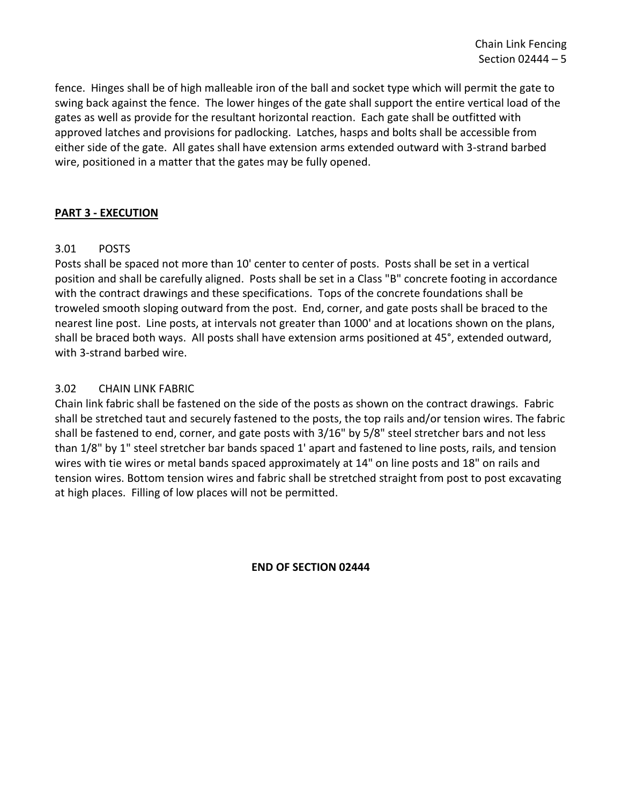fence. Hinges shall be of high malleable iron of the ball and socket type which will permit the gate to swing back against the fence. The lower hinges of the gate shall support the entire vertical load of the gates as well as provide for the resultant horizontal reaction. Each gate shall be outfitted with approved latches and provisions for padlocking. Latches, hasps and bolts shall be accessible from either side of the gate. All gates shall have extension arms extended outward with 3-strand barbed wire, positioned in a matter that the gates may be fully opened.

### <span id="page-6-0"></span>**PART 3 - EXECUTION**

## <span id="page-6-1"></span>3.01 POSTS

Posts shall be spaced not more than 10' center to center of posts. Posts shall be set in a vertical position and shall be carefully aligned. Posts shall be set in a Class "B" concrete footing in accordance with the contract drawings and these specifications. Tops of the concrete foundations shall be troweled smooth sloping outward from the post. End, corner, and gate posts shall be braced to the nearest line post. Line posts, at intervals not greater than 1000' and at locations shown on the plans, shall be braced both ways. All posts shall have extension arms positioned at 45°, extended outward, with 3-strand barbed wire.

### <span id="page-6-2"></span>3.02 CHAIN LINK FABRIC

Chain link fabric shall be fastened on the side of the posts as shown on the contract drawings. Fabric shall be stretched taut and securely fastened to the posts, the top rails and/or tension wires. The fabric shall be fastened to end, corner, and gate posts with 3/16" by 5/8" steel stretcher bars and not less than 1/8" by 1" steel stretcher bar bands spaced 1' apart and fastened to line posts, rails, and tension wires with tie wires or metal bands spaced approximately at 14" on line posts and 18" on rails and tension wires. Bottom tension wires and fabric shall be stretched straight from post to post excavating at high places. Filling of low places will not be permitted.

**END OF SECTION 02444**